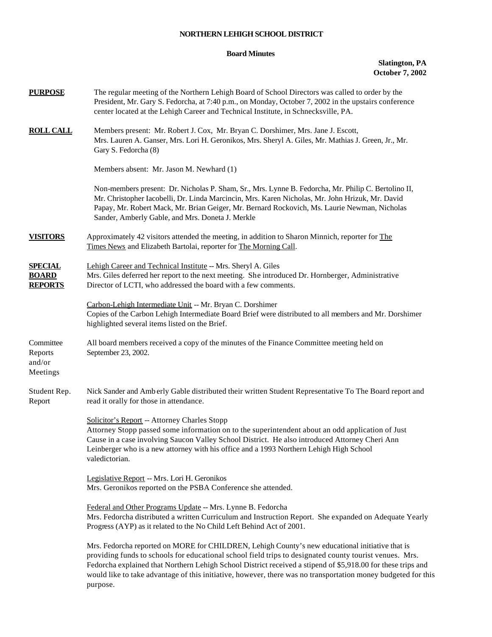## **NORTHERN LEHIGH SCHOOL DISTRICT**

## **Board Minutes**

## **Slatington, PA October 7, 2002**

| <b>PURPOSE</b>                                   | The regular meeting of the Northern Lehigh Board of School Directors was called to order by the<br>President, Mr. Gary S. Fedorcha, at 7:40 p.m., on Monday, October 7, 2002 in the upstairs conference<br>center located at the Lehigh Career and Technical Institute, in Schnecksville, PA.                                                                                                                                                           |  |  |  |  |  |
|--------------------------------------------------|---------------------------------------------------------------------------------------------------------------------------------------------------------------------------------------------------------------------------------------------------------------------------------------------------------------------------------------------------------------------------------------------------------------------------------------------------------|--|--|--|--|--|
| <b>ROLL CALL</b>                                 | Members present: Mr. Robert J. Cox, Mr. Bryan C. Dorshimer, Mrs. Jane J. Escott,<br>Mrs. Lauren A. Ganser, Mrs. Lori H. Geronikos, Mrs. Sheryl A. Giles, Mr. Mathias J. Green, Jr., Mr.<br>Gary S. Fedorcha (8)                                                                                                                                                                                                                                         |  |  |  |  |  |
|                                                  | Members absent: Mr. Jason M. Newhard (1)                                                                                                                                                                                                                                                                                                                                                                                                                |  |  |  |  |  |
|                                                  | Non-members present: Dr. Nicholas P. Sham, Sr., Mrs. Lynne B. Fedorcha, Mr. Philip C. Bertolino II,<br>Mr. Christopher Iacobelli, Dr. Linda Marcincin, Mrs. Karen Nicholas, Mr. John Hrizuk, Mr. David<br>Papay, Mr. Robert Mack, Mr. Brian Geiger, Mr. Bernard Rockovich, Ms. Laurie Newman, Nicholas<br>Sander, Amberly Gable, and Mrs. Doneta J. Merkle                                                                                              |  |  |  |  |  |
| <b>VISITORS</b>                                  | Approximately 42 visitors attended the meeting, in addition to Sharon Minnich, reporter for The<br>Times News and Elizabeth Bartolai, reporter for The Morning Call.                                                                                                                                                                                                                                                                                    |  |  |  |  |  |
| <b>SPECIAL</b><br><b>BOARD</b><br><b>REPORTS</b> | Lehigh Career and Technical Institute -- Mrs. Sheryl A. Giles<br>Mrs. Giles deferred her report to the next meeting. She introduced Dr. Hornberger, Administrative<br>Director of LCTI, who addressed the board with a few comments.                                                                                                                                                                                                                    |  |  |  |  |  |
|                                                  | Carbon-Lehigh Intermediate Unit -- Mr. Bryan C. Dorshimer<br>Copies of the Carbon Lehigh Intermediate Board Brief were distributed to all members and Mr. Dorshimer<br>highlighted several items listed on the Brief.                                                                                                                                                                                                                                   |  |  |  |  |  |
| Committee<br>Reports<br>and/or<br>Meetings       | All board members received a copy of the minutes of the Finance Committee meeting held on<br>September 23, 2002.                                                                                                                                                                                                                                                                                                                                        |  |  |  |  |  |
| Student Rep.<br>Report                           | Nick Sander and Amberly Gable distributed their written Student Representative To The Board report and<br>read it orally for those in attendance.                                                                                                                                                                                                                                                                                                       |  |  |  |  |  |
|                                                  | Solicitor's Report -- Attorney Charles Stopp<br>Attorney Stopp passed some information on to the superintendent about an odd application of Just<br>Cause in a case involving Saucon Valley School District. He also introduced Attorney Cheri Ann<br>Leinberger who is a new attorney with his office and a 1993 Northern Lehigh High School<br>valedictorian.                                                                                         |  |  |  |  |  |
|                                                  | Legislative Report -- Mrs. Lori H. Geronikos<br>Mrs. Geronikos reported on the PSBA Conference she attended.                                                                                                                                                                                                                                                                                                                                            |  |  |  |  |  |
|                                                  | Federal and Other Programs Update -- Mrs. Lynne B. Fedorcha<br>Mrs. Fedorcha distributed a written Curriculum and Instruction Report. She expanded on Adequate Yearly<br>Progress (AYP) as it related to the No Child Left Behind Act of 2001.                                                                                                                                                                                                          |  |  |  |  |  |
|                                                  | Mrs. Fedorcha reported on MORE for CHILDREN, Lehigh County's new educational initiative that is<br>providing funds to schools for educational school field trips to designated county tourist venues. Mrs.<br>Fedorcha explained that Northern Lehigh School District received a stipend of \$5,918.00 for these trips and<br>would like to take advantage of this initiative, however, there was no transportation money budgeted for this<br>purpose. |  |  |  |  |  |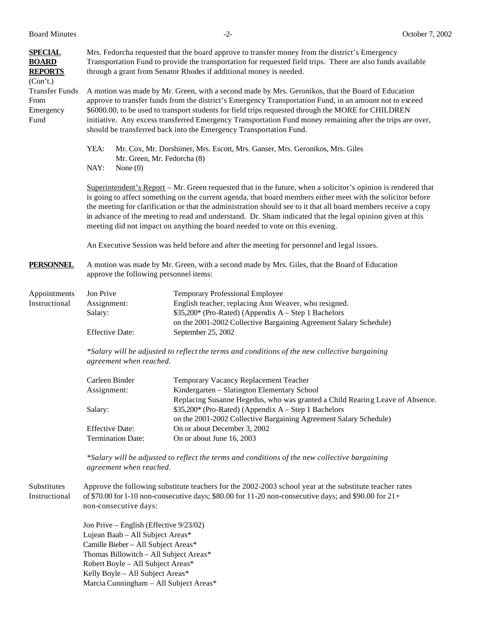| <b>SPECIAL</b><br><b>BOARD</b><br><b>REPORTS</b><br>(Con't.) | Mrs. Fedorcha requested that the board approve to transfer money from the district's Emergency<br>Transportation Fund to provide the transportation for requested field trips. There are also funds available<br>through a grant from Senator Rhodes if additional money is needed.                                                                                                                                                                                                                                                           |                                                                                                                                                                                                                             |  |  |  |
|--------------------------------------------------------------|-----------------------------------------------------------------------------------------------------------------------------------------------------------------------------------------------------------------------------------------------------------------------------------------------------------------------------------------------------------------------------------------------------------------------------------------------------------------------------------------------------------------------------------------------|-----------------------------------------------------------------------------------------------------------------------------------------------------------------------------------------------------------------------------|--|--|--|
| <b>Transfer Funds</b><br>From<br>Emergency<br>Fund           | A motion was made by Mr. Green, with a second made by Mrs. Geronikos, that the Board of Education<br>approve to transfer funds from the district's Emergency Transportation Fund, in an amount not to exceed<br>\$6000.00, to be used to transport students for field trips requested through the MORE for CHILDREN<br>initiative. Any excess transferred Emergency Transportation Fund money remaining after the trips are over,<br>should be transferred back into the Emergency Transportation Fund.                                       |                                                                                                                                                                                                                             |  |  |  |
|                                                              | YEA:<br>Mr. Green, Mr. Fedorcha (8)<br>NAY:<br>None $(0)$                                                                                                                                                                                                                                                                                                                                                                                                                                                                                     | Mr. Cox, Mr. Dorshimer, Mrs. Escott, Mrs. Ganser, Mrs. Geronikos, Mrs. Giles                                                                                                                                                |  |  |  |
|                                                              | Superintendent's Report – Mr. Green requested that in the future, when a solicitor's opinion is rendered that<br>is going to affect something on the current agenda, that board members either meet with the solicitor before<br>the meeting for clarification or that the administration should see to it that all board members receive a copy<br>in advance of the meeting to read and understand. Dr. Sham indicated that the legal opinion given at this<br>meeting did not impact on anything the board needed to vote on this evening. |                                                                                                                                                                                                                             |  |  |  |
|                                                              |                                                                                                                                                                                                                                                                                                                                                                                                                                                                                                                                               | An Executive Session was held before and after the meeting for personnel and legal issues.                                                                                                                                  |  |  |  |
| <b>PERSONNEL</b>                                             | A motion was made by Mr. Green, with a second made by Mrs. Giles, that the Board of Education<br>approve the following personnel items:                                                                                                                                                                                                                                                                                                                                                                                                       |                                                                                                                                                                                                                             |  |  |  |
| Appointments<br>Instructional                                | Jon Prive<br>Assignment:<br>Salary:                                                                                                                                                                                                                                                                                                                                                                                                                                                                                                           | <b>Temporary Professional Employee</b><br>English teacher, replacing Ann Weaver, who resigned.<br>\$35,200* (Pro-Rated) (Appendix A – Step 1 Bachelors<br>on the 2001-2002 Collective Bargaining Agreement Salary Schedule) |  |  |  |
|                                                              | <b>Effective Date:</b>                                                                                                                                                                                                                                                                                                                                                                                                                                                                                                                        | September 25, 2002                                                                                                                                                                                                          |  |  |  |
|                                                              | *Salary will be adjusted to reflect the terms and conditions of the new collective bargaining<br>agreement when reached.                                                                                                                                                                                                                                                                                                                                                                                                                      |                                                                                                                                                                                                                             |  |  |  |
|                                                              | Carleen Binder                                                                                                                                                                                                                                                                                                                                                                                                                                                                                                                                | Temporary Vacancy Replacement Teacher                                                                                                                                                                                       |  |  |  |
|                                                              | Assignment:                                                                                                                                                                                                                                                                                                                                                                                                                                                                                                                                   | Kindergarten - Slatington Elementary School<br>Replacing Susanne Hegedus, who was granted a Child Rearing Leave of Absence.                                                                                                 |  |  |  |
|                                                              | Salary:                                                                                                                                                                                                                                                                                                                                                                                                                                                                                                                                       | \$35,200* (Pro-Rated) (Appendix A – Step 1 Bachelors<br>on the 2001-2002 Collective Bargaining Agreement Salary Schedule)                                                                                                   |  |  |  |
|                                                              | <b>Effective Date:</b><br><b>Termination Date:</b>                                                                                                                                                                                                                                                                                                                                                                                                                                                                                            | On or about December 3, 2002<br>On or about June 16, 2003                                                                                                                                                                   |  |  |  |
|                                                              | *Salary will be adjusted to reflect the terms and conditions of the new collective bargaining<br>agreement when reached.                                                                                                                                                                                                                                                                                                                                                                                                                      |                                                                                                                                                                                                                             |  |  |  |
| Substitutes<br>Instructional                                 | non-consecutive days:                                                                                                                                                                                                                                                                                                                                                                                                                                                                                                                         | Approve the following substitute teachers for the 2002-2003 school year at the substitute teacher rates<br>of \$70.00 for 1-10 non-consecutive days; \$80.00 for 11-20 non-consecutive days; and \$90.00 for $21+$          |  |  |  |
|                                                              | Jon Prive – English (Effective 9/23/02)<br>Lujean Baab - All Subject Areas*<br>Camille Bieber - All Subject Areas*<br>Thomas Billowitch - All Subject Areas*<br>Robert Boyle - All Subject Areas*<br>Kelly Boyle - All Subject Areas*                                                                                                                                                                                                                                                                                                         |                                                                                                                                                                                                                             |  |  |  |

Marcia Cunningham – All Subject Areas\*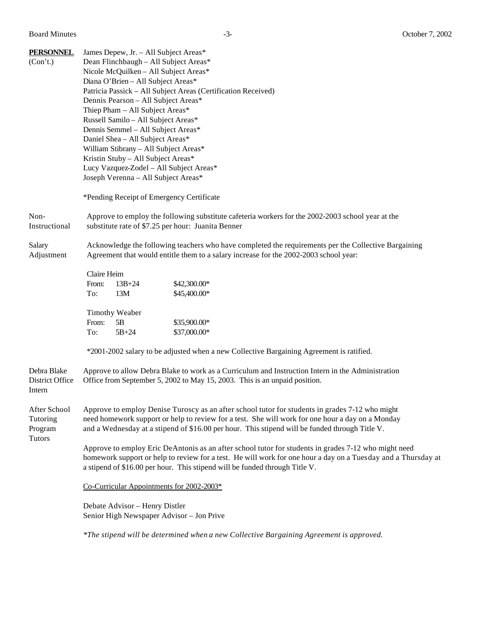| <b>PERSONNEL</b><br>(Con't.)                         | James Depew, Jr. - All Subject Areas*<br>Dean Flinchbaugh - All Subject Areas*<br>Nicole McQuilken - All Subject Areas*<br>Diana O'Brien - All Subject Areas*<br>Patricia Passick - All Subject Areas (Certification Received)<br>Dennis Pearson - All Subject Areas*<br>Thiep Pham - All Subject Areas*<br>Russell Samilo - All Subject Areas*<br>Dennis Semmel - All Subject Areas*<br>Daniel Shea - All Subject Areas*<br>William Stibrany - All Subject Areas*<br>Kristin Stuby - All Subject Areas*<br>Lucy Vazquez-Zodel - All Subject Areas*<br>Joseph Verenna - All Subject Areas*<br>*Pending Receipt of Emergency Certificate |  |  |  |  |  |
|------------------------------------------------------|-----------------------------------------------------------------------------------------------------------------------------------------------------------------------------------------------------------------------------------------------------------------------------------------------------------------------------------------------------------------------------------------------------------------------------------------------------------------------------------------------------------------------------------------------------------------------------------------------------------------------------------------|--|--|--|--|--|
| Non-<br>Instructional                                | Approve to employ the following substitute cafeteria workers for the 2002-2003 school year at the<br>substitute rate of \$7.25 per hour: Juanita Benner                                                                                                                                                                                                                                                                                                                                                                                                                                                                                 |  |  |  |  |  |
| Salary<br>Adjustment                                 | Acknowledge the following teachers who have completed the requirements per the Collective Bargaining<br>Agreement that would entitle them to a salary increase for the 2002-2003 school year:                                                                                                                                                                                                                                                                                                                                                                                                                                           |  |  |  |  |  |
|                                                      | Claire Heim<br>$13B + 24$<br>\$42,300.00*<br>From:<br>To:<br>13M<br>\$45,400.00*                                                                                                                                                                                                                                                                                                                                                                                                                                                                                                                                                        |  |  |  |  |  |
|                                                      | <b>Timothy Weaber</b><br>From:<br>5B<br>\$35,900.00*<br>To:<br>$5B + 24$<br>\$37,000.00*                                                                                                                                                                                                                                                                                                                                                                                                                                                                                                                                                |  |  |  |  |  |
|                                                      | *2001-2002 salary to be adjusted when a new Collective Bargaining Agreement is ratified.                                                                                                                                                                                                                                                                                                                                                                                                                                                                                                                                                |  |  |  |  |  |
| Debra Blake<br>District Office<br>Intern             | Approve to allow Debra Blake to work as a Curriculum and Instruction Intern in the Administration<br>Office from September 5, 2002 to May 15, 2003. This is an unpaid position.                                                                                                                                                                                                                                                                                                                                                                                                                                                         |  |  |  |  |  |
| After School<br>Tutoring<br>Program<br><b>Tutors</b> | Approve to employ Denise Turoscy as an after school tutor for students in grades 7-12 who might<br>need homework support or help to review for a test. She will work for one hour a day on a Monday<br>and a Wednesday at a stipend of \$16.00 per hour. This stipend will be funded through Title V.                                                                                                                                                                                                                                                                                                                                   |  |  |  |  |  |
|                                                      | Approve to employ Eric DeAntonis as an after school tutor for students in grades 7-12 who might need<br>homework support or help to review for a test. He will work for one hour a day on a Tuesday and a Thursday at<br>a stipend of \$16.00 per hour. This stipend will be funded through Title V.                                                                                                                                                                                                                                                                                                                                    |  |  |  |  |  |
|                                                      | Co-Curricular Appointments for 2002-2003*                                                                                                                                                                                                                                                                                                                                                                                                                                                                                                                                                                                               |  |  |  |  |  |
|                                                      | Debate Advisor - Henry Distler<br>Senior High Newspaper Advisor - Jon Prive                                                                                                                                                                                                                                                                                                                                                                                                                                                                                                                                                             |  |  |  |  |  |
|                                                      | *The stipend will be determined when a new Collective Bargaining Agreement is approved.                                                                                                                                                                                                                                                                                                                                                                                                                                                                                                                                                 |  |  |  |  |  |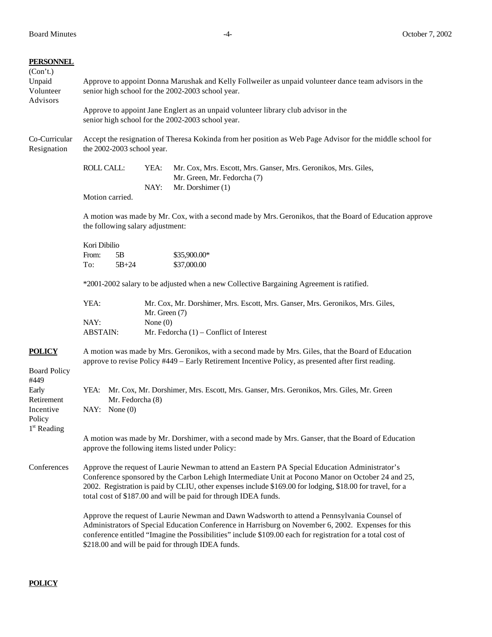| <b>PERSONNEL</b><br>(Con't.)<br>Unpaid<br>Volunteer | Approve to appoint Donna Marushak and Kelly Follweiler as unpaid volunteer dance team advisors in the<br>senior high school for the 2002-2003 school year.                                                                                                                                                                                                                           |                                                                                                                                                                                                            |                                                                                                |                                                                                                                    |  |  |
|-----------------------------------------------------|--------------------------------------------------------------------------------------------------------------------------------------------------------------------------------------------------------------------------------------------------------------------------------------------------------------------------------------------------------------------------------------|------------------------------------------------------------------------------------------------------------------------------------------------------------------------------------------------------------|------------------------------------------------------------------------------------------------|--------------------------------------------------------------------------------------------------------------------|--|--|
| Advisors                                            | Approve to appoint Jane Englert as an unpaid volunteer library club advisor in the<br>senior high school for the 2002-2003 school year.                                                                                                                                                                                                                                              |                                                                                                                                                                                                            |                                                                                                |                                                                                                                    |  |  |
| Co-Curricular<br>Resignation                        | Accept the resignation of Theresa Kokinda from her position as Web Page Advisor for the middle school for<br>the 2002-2003 school year.                                                                                                                                                                                                                                              |                                                                                                                                                                                                            |                                                                                                |                                                                                                                    |  |  |
|                                                     | ROLL CALL:                                                                                                                                                                                                                                                                                                                                                                           |                                                                                                                                                                                                            | YEA:<br>NAY:                                                                                   | Mr. Cox, Mrs. Escott, Mrs. Ganser, Mrs. Geronikos, Mrs. Giles,<br>Mr. Green, Mr. Fedorcha (7)<br>Mr. Dorshimer (1) |  |  |
|                                                     | Motion carried.                                                                                                                                                                                                                                                                                                                                                                      |                                                                                                                                                                                                            |                                                                                                |                                                                                                                    |  |  |
|                                                     | A motion was made by Mr. Cox, with a second made by Mrs. Geronikos, that the Board of Education approve<br>the following salary adjustment:                                                                                                                                                                                                                                          |                                                                                                                                                                                                            |                                                                                                |                                                                                                                    |  |  |
|                                                     | Kori Dibilio                                                                                                                                                                                                                                                                                                                                                                         |                                                                                                                                                                                                            |                                                                                                |                                                                                                                    |  |  |
|                                                     | From:<br>To:                                                                                                                                                                                                                                                                                                                                                                         | 5B<br>$5B + 24$                                                                                                                                                                                            |                                                                                                | $$35,900.00*$<br>\$37,000.00                                                                                       |  |  |
|                                                     |                                                                                                                                                                                                                                                                                                                                                                                      |                                                                                                                                                                                                            |                                                                                                |                                                                                                                    |  |  |
|                                                     |                                                                                                                                                                                                                                                                                                                                                                                      |                                                                                                                                                                                                            |                                                                                                | *2001-2002 salary to be adjusted when a new Collective Bargaining Agreement is ratified.                           |  |  |
|                                                     | YEA:                                                                                                                                                                                                                                                                                                                                                                                 |                                                                                                                                                                                                            | Mr. Cox, Mr. Dorshimer, Mrs. Escott, Mrs. Ganser, Mrs. Geronikos, Mrs. Giles,<br>Mr. Green (7) |                                                                                                                    |  |  |
|                                                     | NAY:<br><b>ABSTAIN:</b>                                                                                                                                                                                                                                                                                                                                                              |                                                                                                                                                                                                            | None $(0)$                                                                                     | Mr. Fedorcha $(1)$ – Conflict of Interest                                                                          |  |  |
| <b>POLICY</b><br><b>Board Policy</b>                |                                                                                                                                                                                                                                                                                                                                                                                      | A motion was made by Mrs. Geronikos, with a second made by Mrs. Giles, that the Board of Education<br>approve to revise Policy #449 - Early Retirement Incentive Policy, as presented after first reading. |                                                                                                |                                                                                                                    |  |  |
| #449                                                |                                                                                                                                                                                                                                                                                                                                                                                      |                                                                                                                                                                                                            |                                                                                                |                                                                                                                    |  |  |
| Early<br>Retirement                                 | YEA:                                                                                                                                                                                                                                                                                                                                                                                 | Mr. Fedorcha (8)                                                                                                                                                                                           |                                                                                                | Mr. Cox, Mr. Dorshimer, Mrs. Escott, Mrs. Ganser, Mrs. Geronikos, Mrs. Giles, Mr. Green                            |  |  |
| Incentive<br>Policy<br>$1st$ Reading                | NAY: None $(0)$                                                                                                                                                                                                                                                                                                                                                                      |                                                                                                                                                                                                            |                                                                                                |                                                                                                                    |  |  |
|                                                     | A motion was made by Mr. Dorshimer, with a second made by Mrs. Ganser, that the Board of Education<br>approve the following items listed under Policy:                                                                                                                                                                                                                               |                                                                                                                                                                                                            |                                                                                                |                                                                                                                    |  |  |
| Conferences                                         | Approve the request of Laurie Newman to attend an Eastern PA Special Education Administrator's<br>Conference sponsored by the Carbon Lehigh Intermediate Unit at Pocono Manor on October 24 and 25,<br>2002. Registration is paid by CLIU, other expenses include \$169.00 for lodging, \$18.00 for travel, for a<br>total cost of \$187.00 and will be paid for through IDEA funds. |                                                                                                                                                                                                            |                                                                                                |                                                                                                                    |  |  |
|                                                     | Approve the request of Laurie Newman and Dawn Wadsworth to attend a Pennsylvania Counsel of<br>Administrators of Special Education Conference in Harrisburg on November 6, 2002. Expenses for this<br>conference entitled "Imagine the Possibilities" include \$109.00 each for registration for a total cost of<br>\$218.00 and will be paid for through IDEA funds.                |                                                                                                                                                                                                            |                                                                                                |                                                                                                                    |  |  |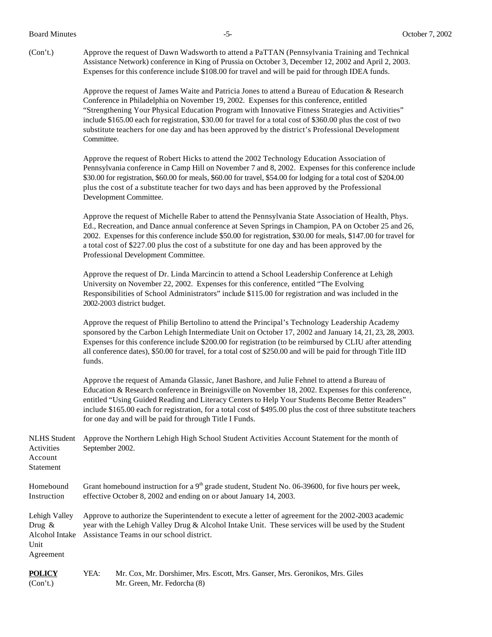(Con't.) Approve the request of Dawn Wadsworth to attend a PaTTAN (Pennsylvania Training and Technical Assistance Network) conference in King of Prussia on October 3, December 12, 2002 and April 2, 2003. Expenses for this conference include \$108.00 for travel and will be paid for through IDEA funds.

> Approve the request of James Waite and Patricia Jones to attend a Bureau of Education & Research Conference in Philadelphia on November 19, 2002. Expenses for this conference, entitled "Strengthening Your Physical Education Program with Innovative Fitness Strategies and Activities" include \$165.00 each for registration, \$30.00 for travel for a total cost of \$360.00 plus the cost of two substitute teachers for one day and has been approved by the district's Professional Development Committee.

Approve the request of Robert Hicks to attend the 2002 Technology Education Association of Pennsylvania conference in Camp Hill on November 7 and 8, 2002. Expenses for this conference include \$30.00 for registration, \$60.00 for meals, \$60.00 for travel, \$54.00 for lodging for a total cost of \$204.00 plus the cost of a substitute teacher for two days and has been approved by the Professional Development Committee.

Approve the request of Michelle Raber to attend the Pennsylvania State Association of Health, Phys. Ed., Recreation, and Dance annual conference at Seven Springs in Champion, PA on October 25 and 26, 2002. Expenses for this conference include \$50.00 for registration, \$30.00 for meals, \$147.00 for travel for a total cost of \$227.00 plus the cost of a substitute for one day and has been approved by the Professional Development Committee.

Approve the request of Dr. Linda Marcincin to attend a School Leadership Conference at Lehigh University on November 22, 2002. Expenses for this conference, entitled "The Evolving Responsibilities of School Administrators" include \$115.00 for registration and was included in the 2002-2003 district budget.

Approve the request of Philip Bertolino to attend the Principal's Technology Leadership Academy sponsored by the Carbon Lehigh Intermediate Unit on October 17, 2002 and January 14, 21, 23, 28, 2003. Expenses for this conference include \$200.00 for registration (to be reimbursed by CLIU after attending all conference dates), \$50.00 for travel, for a total cost of \$250.00 and will be paid for through Title IID funds.

Approve the request of Amanda Glassic, Janet Bashore, and Julie Fehnel to attend a Bureau of Education & Research conference in Breinigsville on November 18, 2002. Expenses for this conference, entitled "Using Guided Reading and Literacy Centers to Help Your Students Become Better Readers" include \$165.00 each for registration, for a total cost of \$495.00 plus the cost of three substitute teachers for one day and will be paid for through Title I Funds.

NLHS Student Approve the Northern Lehigh High School Student Activities Account Statement for the month of Activities September 2002. Account Statement Homebound Grant homebound instruction for a  $9<sup>th</sup>$  grade student, Student No. 06-39600, for five hours per week, Instruction effective October 8, 2002 and ending on or about January 14, 2003. Lehigh Valley Approve to authorize the Superintendent to execute a letter of agreement for the 2002-2003 academic Drug & year with the Lehigh Valley Drug & Alcohol Intake Unit. These services will be used by the Student Alcohol Intake Assistance Teams in our school district. Unit Agreement

**POLICY** YEA: Mr. Cox, Mr. Dorshimer, Mrs. Escott, Mrs. Ganser, Mrs. Geronikos, Mrs. Giles (Con't.) Mr. Green, Mr. Fedorcha (8)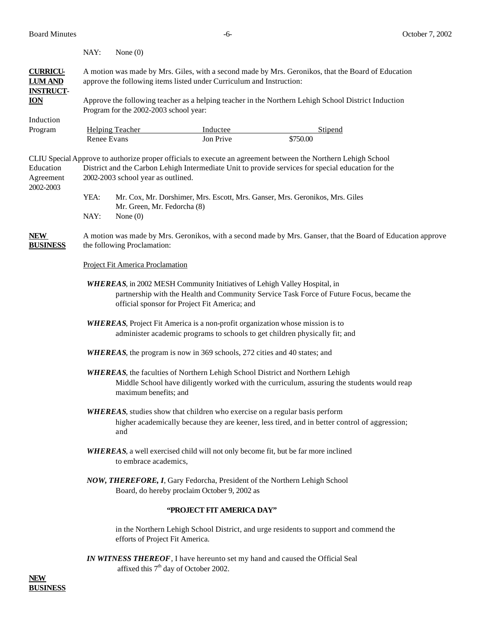|                                     | NAY:                                                                                                                                                                                                                                                      | None $(0)$                                                                        |                                                                              |                                                                                       |  |  |  |  |  |
|-------------------------------------|-----------------------------------------------------------------------------------------------------------------------------------------------------------------------------------------------------------------------------------------------------------|-----------------------------------------------------------------------------------|------------------------------------------------------------------------------|---------------------------------------------------------------------------------------|--|--|--|--|--|
| <b>CURRICU-</b><br><b>LUM AND</b>   | A motion was made by Mrs. Giles, with a second made by Mrs. Geronikos, that the Board of Education<br>approve the following items listed under Curriculum and Instruction:                                                                                |                                                                                   |                                                                              |                                                                                       |  |  |  |  |  |
| <b>INSTRUCT-</b><br><b>ION</b>      | Approve the following teacher as a helping teacher in the Northern Lehigh School District Induction<br>Program for the 2002-2003 school year:                                                                                                             |                                                                                   |                                                                              |                                                                                       |  |  |  |  |  |
| Induction                           |                                                                                                                                                                                                                                                           |                                                                                   |                                                                              |                                                                                       |  |  |  |  |  |
| Program                             | Renee Evans                                                                                                                                                                                                                                               | <b>Helping Teacher</b>                                                            | Inductee<br>Jon Prive                                                        | Stipend<br>\$750.00                                                                   |  |  |  |  |  |
| Education<br>Agreement<br>2002-2003 | CLIU Special Approve to authorize proper officials to execute an agreement between the Northern Lehigh School<br>District and the Carbon Lehigh Intermediate Unit to provide services for special education for the<br>2002-2003 school year as outlined. |                                                                                   |                                                                              |                                                                                       |  |  |  |  |  |
|                                     | YEA:<br>Mr. Cox, Mr. Dorshimer, Mrs. Escott, Mrs. Ganser, Mrs. Geronikos, Mrs. Giles<br>Mr. Green, Mr. Fedorcha (8)                                                                                                                                       |                                                                                   |                                                                              |                                                                                       |  |  |  |  |  |
|                                     | NAY:                                                                                                                                                                                                                                                      | None $(0)$                                                                        |                                                                              |                                                                                       |  |  |  |  |  |
| <b>NEW</b><br><b>BUSINESS</b>       | A motion was made by Mrs. Geronikos, with a second made by Mrs. Ganser, that the Board of Education approve<br>the following Proclamation:                                                                                                                |                                                                                   |                                                                              |                                                                                       |  |  |  |  |  |
|                                     | Project Fit America Proclamation                                                                                                                                                                                                                          |                                                                                   |                                                                              |                                                                                       |  |  |  |  |  |
|                                     | <b>WHEREAS</b> , in 2002 MESH Community Initiatives of Lehigh Valley Hospital, in<br>partnership with the Health and Community Service Task Force of Future Focus, became the<br>official sponsor for Project Fit America; and                            |                                                                                   |                                                                              |                                                                                       |  |  |  |  |  |
|                                     | <b>WHEREAS</b> , Project Fit America is a non-profit organization whose mission is to<br>administer academic programs to schools to get children physically fit; and                                                                                      |                                                                                   |                                                                              |                                                                                       |  |  |  |  |  |
|                                     |                                                                                                                                                                                                                                                           | <b>WHEREAS</b> , the program is now in 369 schools, 272 cities and 40 states; and |                                                                              |                                                                                       |  |  |  |  |  |
|                                     | <b>WHEREAS</b> , the faculties of Northern Lehigh School District and Northern Lehigh<br>Middle School have diligently worked with the curriculum, assuring the students would reap<br>maximum benefits; and                                              |                                                                                   |                                                                              |                                                                                       |  |  |  |  |  |
|                                     | <b>WHEREAS</b> , studies show that children who exercise on a regular basis perform<br>higher academically because they are keener, less tired, and in better control of aggression;<br>and                                                               |                                                                                   |                                                                              |                                                                                       |  |  |  |  |  |
|                                     | <b>WHEREAS</b> , a well exercised child will not only become fit, but be far more inclined<br>to embrace academics,                                                                                                                                       |                                                                                   |                                                                              |                                                                                       |  |  |  |  |  |
|                                     | NOW, THEREFORE, I, Gary Fedorcha, President of the Northern Lehigh School<br>Board, do hereby proclaim October 9, 2002 as                                                                                                                                 |                                                                                   |                                                                              |                                                                                       |  |  |  |  |  |
|                                     | 'PROJECT FIT AMERICA DAY"                                                                                                                                                                                                                                 |                                                                                   |                                                                              |                                                                                       |  |  |  |  |  |
|                                     |                                                                                                                                                                                                                                                           | efforts of Project Fit America.                                                   |                                                                              | in the Northern Lehigh School District, and urge residents to support and commend the |  |  |  |  |  |
|                                     |                                                                                                                                                                                                                                                           | affixed this 7 <sup>th</sup> day of October 2002.                                 | IN WITNESS THEREOF, I have hereunto set my hand and caused the Official Seal |                                                                                       |  |  |  |  |  |

**NEW BUSINESS**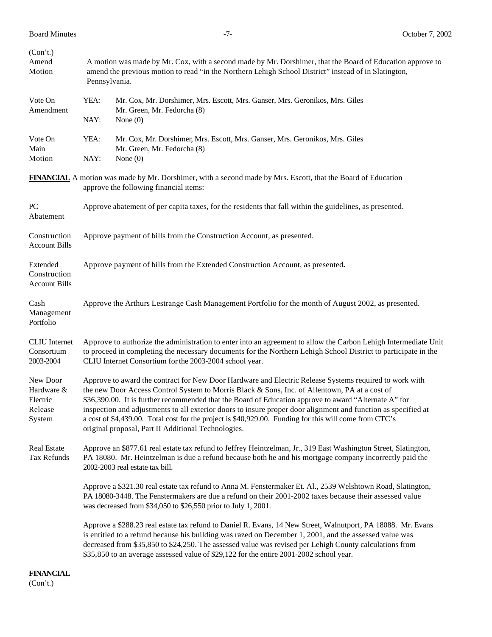| (Con't.)<br>Amend                                       | A motion was made by Mr. Cox, with a second made by Mr. Dorshimer, that the Board of Education approve to                                                                                                                                                                                                                                                                                                                                                                                                                                                                                          |                                                                                                                                                                                                                                                                                                                                                                                                                              |  |  |  |  |  |
|---------------------------------------------------------|----------------------------------------------------------------------------------------------------------------------------------------------------------------------------------------------------------------------------------------------------------------------------------------------------------------------------------------------------------------------------------------------------------------------------------------------------------------------------------------------------------------------------------------------------------------------------------------------------|------------------------------------------------------------------------------------------------------------------------------------------------------------------------------------------------------------------------------------------------------------------------------------------------------------------------------------------------------------------------------------------------------------------------------|--|--|--|--|--|
| Motion                                                  |                                                                                                                                                                                                                                                                                                                                                                                                                                                                                                                                                                                                    | amend the previous motion to read "in the Northern Lehigh School District" instead of in Slatington,<br>Pennsylvania.                                                                                                                                                                                                                                                                                                        |  |  |  |  |  |
| Vote On<br>Amendment                                    | YEA:                                                                                                                                                                                                                                                                                                                                                                                                                                                                                                                                                                                               | Mr. Cox, Mr. Dorshimer, Mrs. Escott, Mrs. Ganser, Mrs. Geronikos, Mrs. Giles<br>Mr. Green, Mr. Fedorcha (8)                                                                                                                                                                                                                                                                                                                  |  |  |  |  |  |
|                                                         | NAY:                                                                                                                                                                                                                                                                                                                                                                                                                                                                                                                                                                                               | None $(0)$                                                                                                                                                                                                                                                                                                                                                                                                                   |  |  |  |  |  |
| Vote On<br>Main                                         | YEA:                                                                                                                                                                                                                                                                                                                                                                                                                                                                                                                                                                                               | Mr. Cox, Mr. Dorshimer, Mrs. Escott, Mrs. Ganser, Mrs. Geronikos, Mrs. Giles<br>Mr. Green, Mr. Fedorcha (8)                                                                                                                                                                                                                                                                                                                  |  |  |  |  |  |
| Motion                                                  | NAY:                                                                                                                                                                                                                                                                                                                                                                                                                                                                                                                                                                                               | None $(0)$                                                                                                                                                                                                                                                                                                                                                                                                                   |  |  |  |  |  |
|                                                         |                                                                                                                                                                                                                                                                                                                                                                                                                                                                                                                                                                                                    | <b>FINANCIAL</b> A motion was made by Mr. Dorshimer, with a second made by Mrs. Escott, that the Board of Education<br>approve the following financial items:                                                                                                                                                                                                                                                                |  |  |  |  |  |
| PC<br>Abatement                                         | Approve abatement of per capita taxes, for the residents that fall within the guidelines, as presented.                                                                                                                                                                                                                                                                                                                                                                                                                                                                                            |                                                                                                                                                                                                                                                                                                                                                                                                                              |  |  |  |  |  |
| Construction<br><b>Account Bills</b>                    | Approve payment of bills from the Construction Account, as presented.                                                                                                                                                                                                                                                                                                                                                                                                                                                                                                                              |                                                                                                                                                                                                                                                                                                                                                                                                                              |  |  |  |  |  |
| Extended<br>Construction<br><b>Account Bills</b>        | Approve payment of bills from the Extended Construction Account, as presented.                                                                                                                                                                                                                                                                                                                                                                                                                                                                                                                     |                                                                                                                                                                                                                                                                                                                                                                                                                              |  |  |  |  |  |
| Cash<br>Management<br>Portfolio                         | Approve the Arthurs Lestrange Cash Management Portfolio for the month of August 2002, as presented.                                                                                                                                                                                                                                                                                                                                                                                                                                                                                                |                                                                                                                                                                                                                                                                                                                                                                                                                              |  |  |  |  |  |
| <b>CLIU</b> Internet<br>Consortium<br>2003-2004         | Approve to authorize the administration to enter into an agreement to allow the Carbon Lehigh Intermediate Unit<br>to proceed in completing the necessary documents for the Northern Lehigh School District to participate in the<br>CLIU Internet Consortium for the 2003-2004 school year.                                                                                                                                                                                                                                                                                                       |                                                                                                                                                                                                                                                                                                                                                                                                                              |  |  |  |  |  |
| New Door<br>Hardware &<br>Electric<br>Release<br>System | Approve to award the contract for New Door Hardware and Electric Release Systems required to work with<br>the new Door Access Control System to Morris Black & Sons, Inc. of Allentown, PA at a cost of<br>\$36,390.00. It is further recommended that the Board of Education approve to award "Alternate A" for<br>inspection and adjustments to all exterior doors to insure proper door alignment and function as specified at<br>a cost of \$4,439.00. Total cost for the project is \$40,929.00. Funding for this will come from CTC's<br>original proposal, Part II Additional Technologies. |                                                                                                                                                                                                                                                                                                                                                                                                                              |  |  |  |  |  |
| Real Estate<br>Tax Refunds                              |                                                                                                                                                                                                                                                                                                                                                                                                                                                                                                                                                                                                    | Approve an \$877.61 real estate tax refund to Jeffrey Heintzelman, Jr., 319 East Washington Street, Slatington,<br>PA 18080. Mr. Heintzelman is due a refund because both he and his mortgage company incorrectly paid the<br>2002-2003 real estate tax bill.                                                                                                                                                                |  |  |  |  |  |
|                                                         |                                                                                                                                                                                                                                                                                                                                                                                                                                                                                                                                                                                                    | Approve a \$321.30 real estate tax refund to Anna M. Fenstermaker Et. Al., 2539 Welshtown Road, Slatington,<br>PA 18080-3448. The Fenstermakers are due a refund on their 2001-2002 taxes because their assessed value<br>was decreased from \$34,050 to \$26,550 prior to July 1, 2001.                                                                                                                                     |  |  |  |  |  |
|                                                         |                                                                                                                                                                                                                                                                                                                                                                                                                                                                                                                                                                                                    | Approve a \$288.23 real estate tax refund to Daniel R. Evans, 14 New Street, Walnutport, PA 18088. Mr. Evans<br>is entitled to a refund because his building was razed on December 1, 2001, and the assessed value was<br>decreased from \$35,850 to \$24,250. The assessed value was revised per Lehigh County calculations from<br>\$35,850 to an average assessed value of \$29,122 for the entire 2001-2002 school year. |  |  |  |  |  |

**FINANCIAL** (Con't.)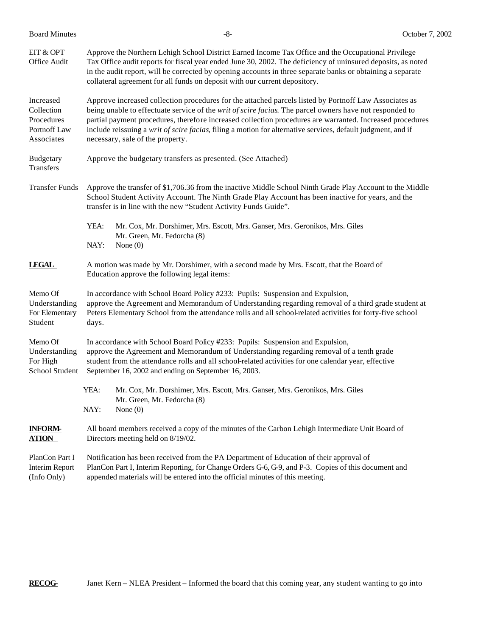| EIT & OPT<br>Office Audit                                           | Approve the Northern Lehigh School District Earned Income Tax Office and the Occupational Privilege<br>Tax Office audit reports for fiscal year ended June 30, 2002. The deficiency of uninsured deposits, as noted<br>in the audit report, will be corrected by opening accounts in three separate banks or obtaining a separate<br>collateral agreement for all funds on deposit with our current depository.                                                                   |  |  |  |  |  |
|---------------------------------------------------------------------|-----------------------------------------------------------------------------------------------------------------------------------------------------------------------------------------------------------------------------------------------------------------------------------------------------------------------------------------------------------------------------------------------------------------------------------------------------------------------------------|--|--|--|--|--|
| Increased<br>Collection<br>Procedures<br>Portnoff Law<br>Associates | Approve increased collection procedures for the attached parcels listed by Portnoff Law Associates as<br>being unable to effectuate service of the writ of scire facias. The parcel owners have not responded to<br>partial payment procedures, therefore increased collection procedures are warranted. Increased procedures<br>include reissuing a writ of scire facias, filing a motion for alternative services, default judgment, and if<br>necessary, sale of the property. |  |  |  |  |  |
| <b>Budgetary</b><br>Transfers                                       | Approve the budgetary transfers as presented. (See Attached)                                                                                                                                                                                                                                                                                                                                                                                                                      |  |  |  |  |  |
| <b>Transfer Funds</b>                                               | Approve the transfer of \$1,706.36 from the inactive Middle School Ninth Grade Play Account to the Middle<br>School Student Activity Account. The Ninth Grade Play Account has been inactive for years, and the<br>transfer is in line with the new "Student Activity Funds Guide".                                                                                                                                                                                               |  |  |  |  |  |
|                                                                     | YEA:<br>Mr. Cox, Mr. Dorshimer, Mrs. Escott, Mrs. Ganser, Mrs. Geronikos, Mrs. Giles<br>Mr. Green, Mr. Fedorcha (8)<br>NAY:<br>None $(0)$                                                                                                                                                                                                                                                                                                                                         |  |  |  |  |  |
| <b>LEGAL</b>                                                        | A motion was made by Mr. Dorshimer, with a second made by Mrs. Escott, that the Board of<br>Education approve the following legal items:                                                                                                                                                                                                                                                                                                                                          |  |  |  |  |  |
| Memo Of<br>Understanding<br>For Elementary<br>Student               | In accordance with School Board Policy #233: Pupils: Suspension and Expulsion,<br>approve the Agreement and Memorandum of Understanding regarding removal of a third grade student at<br>Peters Elementary School from the attendance rolls and all school-related activities for forty-five school<br>days.                                                                                                                                                                      |  |  |  |  |  |
| Memo Of<br>Understanding<br>For High<br>School Student              | In accordance with School Board Policy #233: Pupils: Suspension and Expulsion,<br>approve the Agreement and Memorandum of Understanding regarding removal of a tenth grade<br>student from the attendance rolls and all school-related activities for one calendar year, effective<br>September 16, 2002 and ending on September 16, 2003.                                                                                                                                        |  |  |  |  |  |
|                                                                     | YEA:<br>Mr. Cox, Mr. Dorshimer, Mrs. Escott, Mrs. Ganser, Mrs. Geronikos, Mrs. Giles<br>Mr. Green, Mr. Fedorcha (8)<br>None $(0)$<br>NAY:                                                                                                                                                                                                                                                                                                                                         |  |  |  |  |  |
| <b>INFORM-</b><br><b>ATION</b>                                      | All board members received a copy of the minutes of the Carbon Lehigh Intermediate Unit Board of<br>Directors meeting held on 8/19/02.                                                                                                                                                                                                                                                                                                                                            |  |  |  |  |  |
| PlanCon Part I<br><b>Interim Report</b><br>(Info Only)              | Notification has been received from the PA Department of Education of their approval of<br>PlanCon Part I, Interim Reporting, for Change Orders G-6, G-9, and P-3. Copies of this document and<br>appended materials will be entered into the official minutes of this meeting.                                                                                                                                                                                                   |  |  |  |  |  |